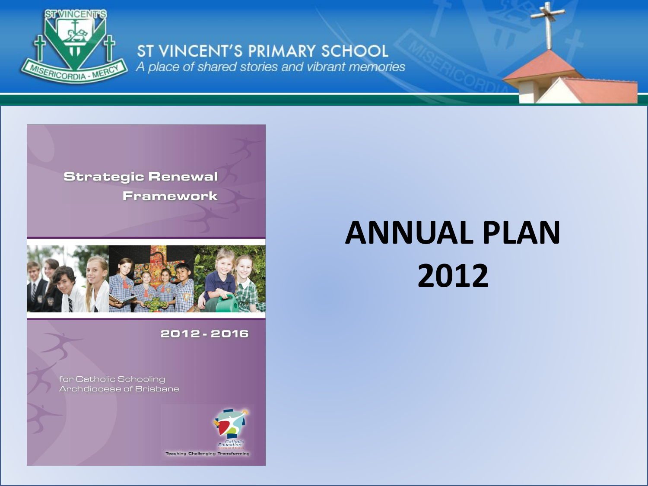

ST VINCENT'S PRIMARY SCHOOL A place of shared stories and vibrant memories





#### 2012 - 2016

for Catholic Schooling Archdiocese of Brisbane



# **ANNUAL PLAN 2012**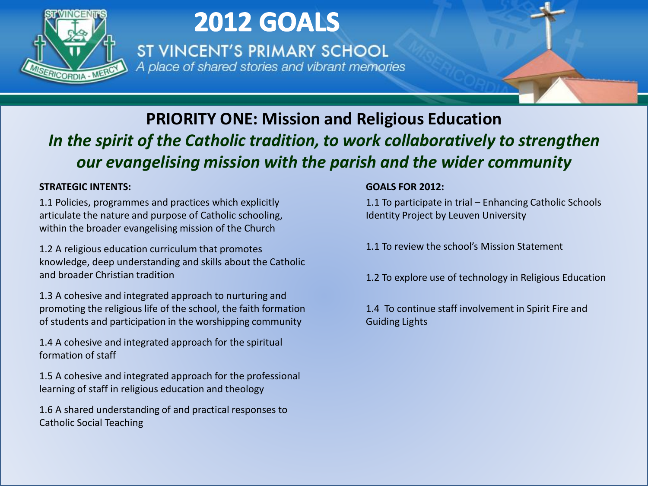

ST VINCENT'S PRIMARY SCHOOL A place of shared stories and vibrant memories

### **PRIORITY ONE: Mission and Religious Education** *In the spirit of the Catholic tradition, to work collaboratively to strengthen our evangelising mission with the parish and the wider community*

#### **STRATEGIC INTENTS:**

1.1 Policies, programmes and practices which explicitly articulate the nature and purpose of Catholic schooling, within the broader evangelising mission of the Church

1.2 A religious education curriculum that promotes knowledge, deep understanding and skills about the Catholic and broader Christian tradition

1.3 A cohesive and integrated approach to nurturing and promoting the religious life of the school, the faith formation of students and participation in the worshipping community

1.4 A cohesive and integrated approach for the spiritual formation of staff

1.5 A cohesive and integrated approach for the professional learning of staff in religious education and theology

1.6 A shared understanding of and practical responses to Catholic Social Teaching

#### **GOALS FOR 2012:**

1.1 To participate in trial – Enhancing Catholic Schools Identity Project by Leuven University

- 1.1 To review the school's Mission Statement
- 1.2 To explore use of technology in Religious Education

1.4 To continue staff involvement in Spirit Fire and Guiding Lights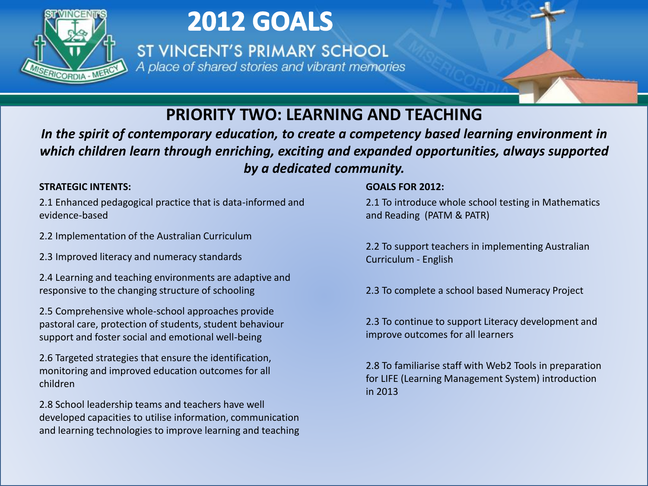

ST VINCENT'S PRIMARY SCHOOL A place of shared stories and vibrant memories

### **PRIORITY TWO: LEARNING AND TEACHING**

*In the spirit of contemporary education, to create a competency based learning environment in which children learn through enriching, exciting and expanded opportunities, always supported by a dedicated community.*

- **STRATEGIC INTENTS:**<br>2.1 Enhanced pedagogical practice that is data-informed and **2**<br>evidence-based a 2.1 Enhanced pedagogical practice that is data-informed and evidence-based
- 2.2 Implementation of the Australian Curriculum
- 2.3 Improved literacy and numeracy standards
- 2.4 Learning and teaching environments are adaptive and responsive to the changing structure of schooling
- 2.5 Comprehensive whole-school approaches provide pastoral care, protection of students, student behaviour support and foster social and emotional well-being
- 2.6 Targeted strategies that ensure the identification, monitoring and improved education outcomes for all children
- 2.8 School leadership teams and teachers have well developed capacities to utilise information, communication and learning technologies to improve learning and teaching

### **GOALS FOR 2012:**

2.1 To introduce whole school testing in Mathematics and Reading (PATM & PATR)

2.2 To support teachers in implementing Australian Curriculum - English

2.3 To complete a school based Numeracy Project

2.3 To continue to support Literacy development and improve outcomes for all learners

2.8 To familiarise staff with Web2 Tools in preparation for LIFE (Learning Management System) introduction in 2013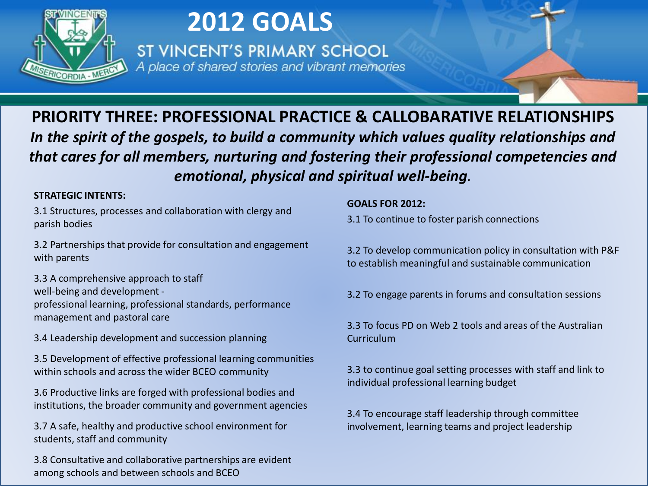

ST VINCENT'S PRIMARY SCHOOL A place of shared stories and vibrant memories

**PRIORITY THREE: PROFESSIONAL PRACTICE & CALLOBARATIVE RELATIONSHIPS** *In the spirit of the gospels, to build a community which values quality relationships and that cares for all members, nurturing and fostering their professional competencies and emotional, physical and spiritual well-being.*

#### **STRATEGIC INTENTS:**

3.1 Structures, processes and collaboration with clergy and parish bodies

3.2 Partnerships that provide for consultation and engagement with parents

3.3 A comprehensive approach to staff well-being and development professional learning, professional standards, performance management and pastoral care

3.4 Leadership development and succession planning

3.5 Development of effective professional learning communities within schools and across the wider BCEO community

3.6 Productive links are forged with professional bodies and institutions, the broader community and government agencies

3.7 A safe, healthy and productive school environment for students, staff and community

3.8 Consultative and collaborative partnerships are evident among schools and between schools and BCEO

### **GOALS FOR 2012:**

3.1 To continue to foster parish connections

3.2 To develop communication policy in consultation with P&F to establish meaningful and sustainable communication

3.2 To engage parents in forums and consultation sessions

3.3 To focus PD on Web 2 tools and areas of the Australian **Curriculum** 

3.3 to continue goal setting processes with staff and link to individual professional learning budget

3.4 To encourage staff leadership through committee involvement, learning teams and project leadership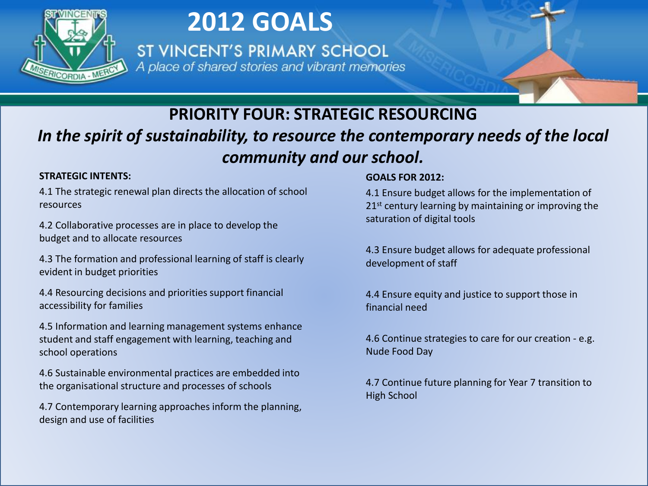

ST VINCENT'S PRIMARY SCHOOL A place of shared stories and vibrant memories

### **PRIORITY FOUR: STRATEGIC RESOURCING** *In the spirit of sustainability, to resource the contemporary needs of the local community and our school.*

#### **STRATEGIC INTENTS:**

4.1 The strategic renewal plan directs the allocation of school resources

4.2 Collaborative processes are in place to develop the budget and to allocate resources

4.3 The formation and professional learning of staff is clearly evident in budget priorities

4.4 Resourcing decisions and priorities support financial accessibility for families

4.5 Information and learning management systems enhance student and staff engagement with learning, teaching and school operations

4.6 Sustainable environmental practices are embedded into the organisational structure and processes of schools

4.7 Contemporary learning approaches inform the planning, design and use of facilities

#### **GOALS FOR 2012:**

4.1 Ensure budget allows for the implementation of 21<sup>st</sup> century learning by maintaining or improving the saturation of digital tools

4.3 Ensure budget allows for adequate professional development of staff

4.4 Ensure equity and justice to support those in financial need

4.6 Continue strategies to care for our creation - e.g. Nude Food Day

4.7 Continue future planning for Year 7 transition to High School